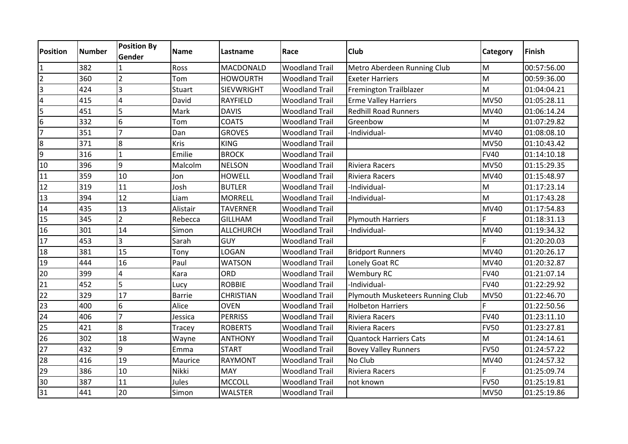| <b>Position</b> | <b>Number</b> | <b>Position By</b><br>Gender | <b>Name</b>   | Lastname          | Race                  | <b>Club</b>                      | Category    | Finish      |
|-----------------|---------------|------------------------------|---------------|-------------------|-----------------------|----------------------------------|-------------|-------------|
|                 | 382           |                              | Ross          | <b>MACDONALD</b>  | <b>Woodland Trail</b> | Metro Aberdeen Running Club      | M           | 00:57:56.00 |
| $\overline{2}$  | 360           | $\overline{2}$               | Tom           | <b>HOWOURTH</b>   | <b>Woodland Trail</b> | <b>Exeter Harriers</b>           | M           | 00:59:36.00 |
| 3               | 424           | 3                            | Stuart        | <b>SIEVWRIGHT</b> | <b>Woodland Trail</b> | Fremington Trailblazer           | M           | 01:04:04.21 |
| 4               | 415           | 4                            | David         | <b>RAYFIELD</b>   | <b>Woodland Trail</b> | <b>Erme Valley Harriers</b>      | <b>MV50</b> | 01:05:28.11 |
| 5               | 451           | 5                            | Mark          | <b>DAVIS</b>      | <b>Woodland Trail</b> | <b>Redhill Road Runners</b>      | <b>MV40</b> | 01:06:14.24 |
| 6               | 332           | 6                            | Tom           | <b>COATS</b>      | <b>Woodland Trail</b> | Greenbow                         | M           | 01:07:29.82 |
| $\overline{7}$  | 351           | $\overline{7}$               | Dan           | <b>GROVES</b>     | <b>Woodland Trail</b> | -Individual-                     | <b>MV40</b> | 01:08:08.10 |
| 8               | 371           | 8                            | <b>Kris</b>   | <b>KING</b>       | <b>Woodland Trail</b> |                                  | <b>MV50</b> | 01:10:43.42 |
| 9               | 316           | 1                            | Emilie        | <b>BROCK</b>      | <b>Woodland Trail</b> |                                  | <b>FV40</b> | 01:14:10.18 |
| 10              | 396           | 9                            | Malcolm       | <b>NELSON</b>     | <b>Woodland Trail</b> | <b>Riviera Racers</b>            | <b>MV50</b> | 01:15:29.35 |
| 11              | 359           | 10                           | Jon           | <b>HOWELL</b>     | <b>Woodland Trail</b> | Riviera Racers                   | <b>MV40</b> | 01:15:48.97 |
| 12              | 319           | 11                           | Josh          | <b>BUTLER</b>     | <b>Woodland Trail</b> | -Individual-                     | M           | 01:17:23.14 |
| 13              | 394           | 12                           | Liam          | <b>MORRELL</b>    | <b>Woodland Trail</b> | -Individual-                     | M           | 01:17:43.28 |
| $\overline{14}$ | 435           | 13                           | Alistair      | <b>TAVERNER</b>   | <b>Woodland Trail</b> |                                  | <b>MV40</b> | 01:17:54.83 |
| 15              | 345           | $\overline{2}$               | Rebecca       | <b>GILLHAM</b>    | <b>Woodland Trail</b> | <b>Plymouth Harriers</b>         | F           | 01:18:31.13 |
| 16              | 301           | 14                           | Simon         | ALLCHURCH         | <b>Woodland Trail</b> | -Individual-                     | <b>MV40</b> | 01:19:34.32 |
| 17              | 453           | 3                            | Sarah         | <b>GUY</b>        | <b>Woodland Trail</b> |                                  |             | 01:20:20.03 |
| 18              | 381           | 15                           | Tony          | LOGAN             | <b>Woodland Trail</b> | <b>Bridport Runners</b>          | <b>MV40</b> | 01:20:26.17 |
| 19              | 444           | 16                           | Paul          | <b>WATSON</b>     | <b>Woodland Trail</b> | Lonely Goat RC                   | <b>MV40</b> | 01:20:32.87 |
| 20              | 399           | $\overline{\mathbf{4}}$      | Kara          | <b>ORD</b>        | <b>Woodland Trail</b> | <b>Wembury RC</b>                | <b>FV40</b> | 01:21:07.14 |
| 21              | 452           | 5                            | Lucy          | <b>ROBBIE</b>     | <b>Woodland Trail</b> | -Individual-                     | <b>FV40</b> | 01:22:29.92 |
| 22              | 329           | 17                           | <b>Barrie</b> | <b>CHRISTIAN</b>  | <b>Woodland Trail</b> | Plymouth Musketeers Running Club | <b>MV50</b> | 01:22:46.70 |
| $\overline{23}$ | 400           | 6                            | Alice         | <b>OVEN</b>       | <b>Woodland Trail</b> | <b>Holbeton Harriers</b>         |             | 01:22:50.56 |
| 24              | 406           | $\overline{7}$               | Jessica       | <b>PERRISS</b>    | <b>Woodland Trail</b> | Riviera Racers                   | <b>FV40</b> | 01:23:11.10 |
| $\overline{25}$ | 421           | 8                            | Tracey        | <b>ROBERTS</b>    | <b>Woodland Trail</b> | Riviera Racers                   | <b>FV50</b> | 01:23:27.81 |
| 26              | 302           | 18                           | Wayne         | <b>ANTHONY</b>    | <b>Woodland Trail</b> | <b>Quantock Harriers Cats</b>    | M           | 01:24:14.61 |
| 27              | 432           | 9                            | Emma          | <b>START</b>      | <b>Woodland Trail</b> | <b>Bovey Valley Runners</b>      | <b>FV50</b> | 01:24:57.22 |
| 28              | 416           | 19                           | Maurice       | <b>RAYMONT</b>    | <b>Woodland Trail</b> | No Club                          | <b>MV40</b> | 01:24:57.32 |
| 29              | 386           | 10                           | Nikki         | <b>MAY</b>        | <b>Woodland Trail</b> | Riviera Racers                   |             | 01:25:09.74 |
| 30              | 387           | 11                           | Jules         | <b>MCCOLL</b>     | <b>Woodland Trail</b> | not known                        | <b>FV50</b> | 01:25:19.81 |
| 31              | 441           | 20                           | Simon         | <b>WALSTER</b>    | <b>Woodland Trail</b> |                                  | <b>MV50</b> | 01:25:19.86 |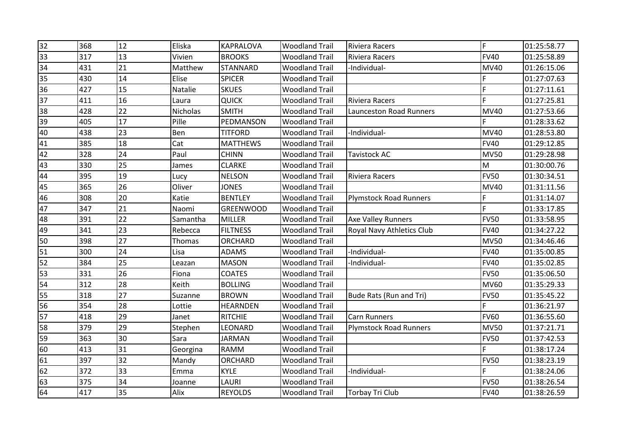| 32              | 368 | 12 | Eliska   | <b>KAPRALOVA</b> | <b>Woodland Trail</b> | Riviera Racers                 | F.          | 01:25:58.77 |
|-----------------|-----|----|----------|------------------|-----------------------|--------------------------------|-------------|-------------|
| 33              | 317 | 13 | Vivien   | <b>BROOKS</b>    | <b>Woodland Trail</b> | <b>Riviera Racers</b>          | <b>FV40</b> | 01:25:58.89 |
| 34              | 431 | 21 | Matthew  | <b>STANNARD</b>  | <b>Woodland Trail</b> | -Individual-                   | <b>MV40</b> | 01:26:15.06 |
| 35              | 430 | 14 | Elise    | <b>SPICER</b>    | <b>Woodland Trail</b> |                                |             | 01:27:07.63 |
| 36              | 427 | 15 | Natalie  | <b>SKUES</b>     | <b>Woodland Trail</b> |                                | F           | 01:27:11.61 |
| 37              | 411 | 16 | Laura    | <b>QUICK</b>     | <b>Woodland Trail</b> | <b>Riviera Racers</b>          | E           | 01:27:25.81 |
| 38              | 428 | 22 | Nicholas | <b>SMITH</b>     | <b>Woodland Trail</b> | <b>Launceston Road Runners</b> | <b>MV40</b> | 01:27:53.66 |
| 39              | 405 | 17 | Pille    | PEDMANSON        | <b>Woodland Trail</b> |                                |             | 01:28:33.62 |
| 40              | 438 | 23 | Ben      | <b>TITFORD</b>   | <b>Woodland Trail</b> | -Individual-                   | <b>MV40</b> | 01:28:53.80 |
| 41              | 385 | 18 | Cat      | <b>MATTHEWS</b>  | <b>Woodland Trail</b> |                                | <b>FV40</b> | 01:29:12.85 |
| 42              | 328 | 24 | Paul     | <b>CHINN</b>     | <b>Woodland Trail</b> | <b>Tavistock AC</b>            | <b>MV50</b> | 01:29:28.98 |
| 43              | 330 | 25 | James    | <b>CLARKE</b>    | <b>Woodland Trail</b> |                                | M           | 01:30:00.76 |
| 44              | 395 | 19 | Lucy     | <b>NELSON</b>    | <b>Woodland Trail</b> | <b>Riviera Racers</b>          | <b>FV50</b> | 01:30:34.51 |
| 45              | 365 | 26 | Oliver   | <b>JONES</b>     | <b>Woodland Trail</b> |                                | <b>MV40</b> | 01:31:11.56 |
| 46              | 308 | 20 | Katie    | <b>BENTLEY</b>   | <b>Woodland Trail</b> | <b>Plymstock Road Runners</b>  | F           | 01:31:14.07 |
| 47              | 347 | 21 | Naomi    | <b>GREENWOOD</b> | <b>Woodland Trail</b> |                                | E           | 01:33:17.85 |
| 48              | 391 | 22 | Samantha | <b>MILLER</b>    | <b>Woodland Trail</b> | <b>Axe Valley Runners</b>      | <b>FV50</b> | 01:33:58.95 |
| 49              | 341 | 23 | Rebecca  | <b>FILTNESS</b>  | <b>Woodland Trail</b> | Royal Navy Athletics Club      | <b>FV40</b> | 01:34:27.22 |
| 50              | 398 | 27 | Thomas   | ORCHARD          | <b>Woodland Trail</b> |                                | <b>MV50</b> | 01:34:46.46 |
| 51              | 300 | 24 | Lisa     | <b>ADAMS</b>     | <b>Woodland Trail</b> | -Individual-                   | <b>FV40</b> | 01:35:00.85 |
| 52              | 384 | 25 | Leazan   | <b>MASON</b>     | <b>Woodland Trail</b> | -Individual-                   | <b>FV40</b> | 01:35:02.85 |
| 53              | 331 | 26 | Fiona    | <b>COATES</b>    | <b>Woodland Trail</b> |                                | <b>FV50</b> | 01:35:06.50 |
| 54              | 312 | 28 | Keith    | <b>BOLLING</b>   | <b>Woodland Trail</b> |                                | <b>MV60</b> | 01:35:29.33 |
| 55              | 318 | 27 | Suzanne  | <b>BROWN</b>     | <b>Woodland Trail</b> | Bude Rats (Run and Tri)        | <b>FV50</b> | 01:35:45.22 |
| $\overline{56}$ | 354 | 28 | Lottie   | <b>HEARNDEN</b>  | <b>Woodland Trail</b> |                                | F           | 01:36:21.97 |
| 57              | 418 | 29 | Janet    | <b>RITCHIE</b>   | <b>Woodland Trail</b> | <b>Carn Runners</b>            | <b>FV60</b> | 01:36:55.60 |
| 58              | 379 | 29 | Stephen  | LEONARD          | <b>Woodland Trail</b> | <b>Plymstock Road Runners</b>  | <b>MV50</b> | 01:37:21.71 |
| 59              | 363 | 30 | Sara     | <b>JARMAN</b>    | <b>Woodland Trail</b> |                                | <b>FV50</b> | 01:37:42.53 |
| 60              | 413 | 31 | Georgina | <b>RAMM</b>      | <b>Woodland Trail</b> |                                | F           | 01:38:17.24 |
| 61              | 397 | 32 | Mandy    | <b>ORCHARD</b>   | <b>Woodland Trail</b> |                                | <b>FV50</b> | 01:38:23.19 |
| 62              | 372 | 33 | Emma     | <b>KYLE</b>      | <b>Woodland Trail</b> | -Individual-                   |             | 01:38:24.06 |
| 63              | 375 | 34 | Joanne   | LAURI            | <b>Woodland Trail</b> |                                | <b>FV50</b> | 01:38:26.54 |
| 64              | 417 | 35 | Alix     | <b>REYOLDS</b>   | <b>Woodland Trail</b> | <b>Torbay Tri Club</b>         | <b>FV40</b> | 01:38:26.59 |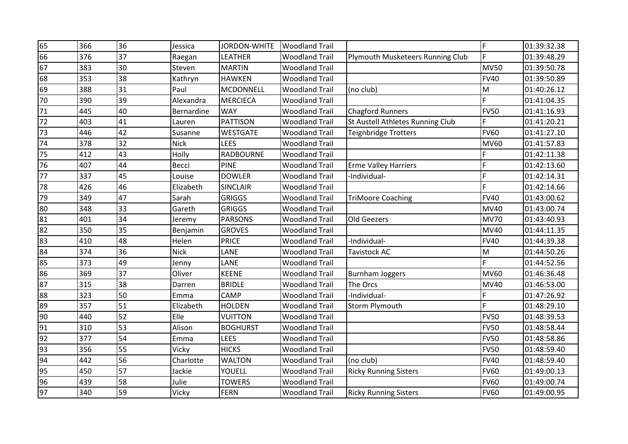| 65              | 366 | 36 | Jessica     | JORDON-WHITE     | <b>Woodland Trail</b> |                                  | F           | 01:39:32.38 |
|-----------------|-----|----|-------------|------------------|-----------------------|----------------------------------|-------------|-------------|
| 66              | 376 | 37 | Raegan      | <b>LEATHER</b>   | <b>Woodland Trail</b> | Plymouth Musketeers Running Club | E           | 01:39:48.29 |
| 67              | 383 | 30 | Steven      | <b>MARTIN</b>    | <b>Woodland Trail</b> |                                  | <b>MV50</b> | 01:39:50.78 |
| 68              | 353 | 38 | Kathryn     | <b>HAWKEN</b>    | <b>Woodland Trail</b> |                                  | <b>FV40</b> | 01:39:50.89 |
| 69              | 388 | 31 | Paul        | MCDONNELL        | <b>Woodland Trail</b> | (no club)                        | M           | 01:40:26.12 |
| 70              | 390 | 39 | Alexandra   | <b>MERCIECA</b>  | <b>Woodland Trail</b> |                                  | F           | 01:41:04.35 |
| 71              | 445 | 40 | Bernardine  | <b>WAY</b>       | <b>Woodland Trail</b> | <b>Chagford Runners</b>          | <b>FV50</b> | 01:41:16.93 |
| 72              | 403 | 41 | Lauren      | <b>PATTISON</b>  | <b>Woodland Trail</b> | St Austell Athletes Running Club | F           | 01:41:20.21 |
| 73              | 446 | 42 | Susanne     | <b>WESTGATE</b>  | <b>Woodland Trail</b> | <b>Teignbridge Trotters</b>      | <b>FV60</b> | 01:41:27.10 |
| 74              | 378 | 32 | <b>Nick</b> | LEES             | <b>Woodland Trail</b> |                                  | <b>MV60</b> | 01:41:57.83 |
| $\overline{75}$ | 412 | 43 | Holly       | <b>RADBOURNE</b> | <b>Woodland Trail</b> |                                  |             | 01:42:11.38 |
| 76              | 407 | 44 | Becci       | <b>PINE</b>      | <b>Woodland Trail</b> | <b>Erme Valley Harriers</b>      | F           | 01:42:13.60 |
| $\overline{77}$ | 337 | 45 | Louise      | <b>DOWLER</b>    | <b>Woodland Trail</b> | -Individual-                     | F           | 01:42:14.31 |
| 78              | 426 | 46 | Elizabeth   | <b>SINCLAIR</b>  | <b>Woodland Trail</b> |                                  | E           | 01:42:14.66 |
| 79              | 349 | 47 | Sarah       | <b>GRIGGS</b>    | <b>Woodland Trail</b> | <b>TriMoore Coaching</b>         | <b>FV40</b> | 01:43:00.62 |
| 80              | 348 | 33 | Gareth      | <b>GRIGGS</b>    | <b>Woodland Trail</b> |                                  | <b>MV40</b> | 01:43:00.74 |
| 81              | 401 | 34 | Jeremy      | <b>PARSONS</b>   | <b>Woodland Trail</b> | Old Geezers                      | <b>MV70</b> | 01:43:40.93 |
| 82              | 350 | 35 | Benjamin    | <b>GROVES</b>    | <b>Woodland Trail</b> |                                  | <b>MV40</b> | 01:44:11.35 |
| 83              | 410 | 48 | Helen       | <b>PRICE</b>     | <b>Woodland Trail</b> | -Individual-                     | <b>FV40</b> | 01:44:39.38 |
| 84              | 374 | 36 | <b>Nick</b> | LANE             | <b>Woodland Trail</b> | <b>Tavistock AC</b>              | M           | 01:44:50.26 |
| 85              | 373 | 49 | Jenny       | LANE             | <b>Woodland Trail</b> |                                  | F           | 01:44:52.56 |
| 86              | 369 | 37 | Oliver      | <b>KEENE</b>     | <b>Woodland Trail</b> | <b>Burnham Joggers</b>           | <b>MV60</b> | 01:46:36.48 |
| 87              | 315 | 38 | Darren      | <b>BRIDLE</b>    | <b>Woodland Trail</b> | The Orcs                         | <b>MV40</b> | 01:46:53.00 |
| 88              | 323 | 50 | Emma        | <b>CAMP</b>      | <b>Woodland Trail</b> | -Individual-                     | F           | 01:47:26.92 |
| 89              | 357 | 51 | Elizabeth   | <b>HOLDEN</b>    | <b>Woodland Trail</b> | <b>Storm Plymouth</b>            | d           | 01:48:29.10 |
| 90              | 440 | 52 | Elle        | <b>VUITTON</b>   | <b>Woodland Trail</b> |                                  | <b>FV50</b> | 01:48:39.53 |
| 91              | 310 | 53 | Alison      | <b>BOGHURST</b>  | <b>Woodland Trail</b> |                                  | <b>FV50</b> | 01:48:58.44 |
| 92              | 377 | 54 | Emma        | <b>LEES</b>      | <b>Woodland Trail</b> |                                  | <b>FV50</b> | 01:48:58.86 |
| 93              | 356 | 55 | Vicky       | <b>HICKS</b>     | <b>Woodland Trail</b> |                                  | <b>FV50</b> | 01:48:59.40 |
| 94              | 442 | 56 | Charlotte   | <b>WALTON</b>    | <b>Woodland Trail</b> | (no club)                        | <b>FV40</b> | 01:48:59.40 |
| 95              | 450 | 57 | Jackie      | YOUELL           | <b>Woodland Trail</b> | <b>Ricky Running Sisters</b>     | <b>FV60</b> | 01:49:00.13 |
| 96              | 439 | 58 | Julie       | <b>TOWERS</b>    | <b>Woodland Trail</b> |                                  | <b>FV60</b> | 01:49:00.74 |
| 97              | 340 | 59 | Vicky       | <b>FERN</b>      | <b>Woodland Trail</b> | <b>Ricky Running Sisters</b>     | <b>FV60</b> | 01:49:00.95 |